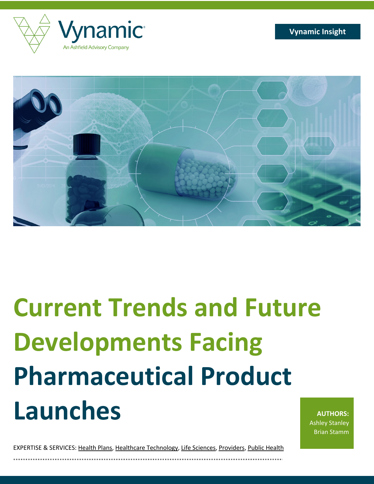

# **Current Trends and Future Developments Facing Pharmaceutical Product Launches**

**AUTHORS:** Ashley Stanley Brian Stamm

EXPERTISE & SERVICES: Health Plans, Healthcare Technology, Life Sciences, Providers, Public Health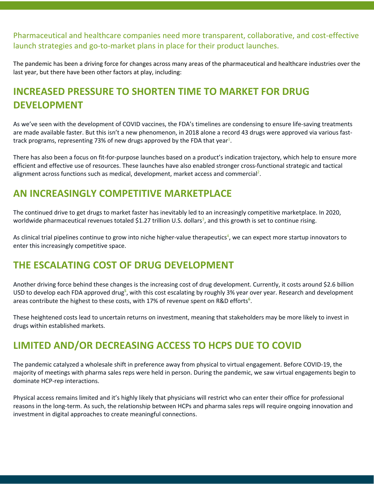Pharmaceutical and healthcare companies need more transparent, collaborative, and cost-effective launch strategies and go-to-market plans in place for their product launches.

The pandemic has been a driving force for changes across many areas of the pharmaceutical and healthcare industries over the last year, but there have been other factors at play, including:

## **INCREASED PRESSURE TO SHORTEN TIME TO MARKET FOR DRUG DEVELOPMENT**

As we've seen with the development of COVID vaccines, the FDA's timelines are condensing to ensure life-saving treatments are made available faster. But this isn't a new phenomenon, in 2018 alone a record 43 drugs were approved via various fasttrack programs, representing 73% of new drugs approved by the FDA that year<sup>1</sup>.

There has also been a focus on fit-for-purpose launches based on a product's indication trajectory, which help to ensure more efficient and effective use of resources. These launches have also enabled stronger cross-functional strategic and tactical alignment across functions such as medical, development, market access and commercial<sup>2</sup>.

#### **AN INCREASINGLY COMPETITIVE MARKETPLACE**

The continued drive to get drugs to market faster has inevitably led to an increasingly competitive marketplace. In 2020, worldwide pharmaceutical revenues totaled \$1.27 trillion U.S. dollars<sup>3</sup>, and this growth is set to continue rising.

As clinical trial pipelines continue to grow into niche higher-value therapeutics<sup>4</sup>, we can expect more startup innovators to enter this increasingly competitive space.

### **THE ESCALATING COST OF DRUG DEVELOPMENT**

Another driving force behind these changes is the increasing cost of drug development. Currently, it costs around \$2.6 billion USD to develop each FDA approved drug<sup>5</sup>, with this cost escalating by roughly 3% year over year. Research and development areas contribute the highest to these costs, with 17% of revenue spent on R&D efforts**<sup>6</sup>** .

These heightened costs lead to uncertain returns on investment, meaning that stakeholders may be more likely to invest in drugs within established markets.

### **LIMITED AND/OR DECREASING ACCESS TO HCPS DUE TO COVID**

The pandemic catalyzed a wholesale shift in preference away from physical to virtual engagement. Before COVID-19, the majority of meetings with pharma sales reps were held in person. During the pandemic, we saw virtual engagements begin to dominate HCP-rep interactions.

Physical access remains limited and it's highly likely that physicians will restrict who can enter their office for professional reasons in the long-term. As such, the relationship between HCPs and pharma sales reps will require ongoing innovation and investment in digital approaches to create meaningful connections.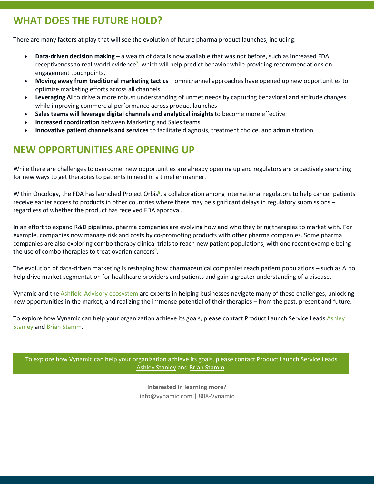#### **WHAT DOES THE FUTURE HOLD?**

There are many factors at play that will see the evolution of future pharma product launches, including:

- **Data-driven decision making** a wealth of data is now available that was not before, such as increased FDA receptiveness to real-world evidence**<sup>7</sup>** , which will help predict behavior while providing recommendations on engagement touchpoints.
- **Moving away from traditional marketing tactics** omnichannel approaches have opened up new opportunities to optimize marketing efforts across all channels
- **Leveraging AI** to drive a more robust understanding of unmet needs by capturing behavioral and attitude changes while improving commercial performance across product launches
- **Sales teams will leverage digital channels** a**nd analytical insights** to become more effective
- **Increased coordination** between Marketing and Sales teams
- **Innovative patient channels and services** to facilitate diagnosis, treatment choice, and administration

#### **NEW OPPORTUNITIES ARE OPENING UP**

While there are challenges to overcome, new opportunities are already opening up and regulators are proactively searching for new ways to get therapies to patients in need in a timelier manner.

Within Oncology, the FDA has launched Project Orbis<sup>8</sup>, a collaboration among international regulators to help cancer patients receive earlier access to products in other countries where there may be significant delays in regulatory submissions – regardless of whether the product has received FDA approval.

In an effort to expand R&D pipelines, pharma companies are evolving how and who they bring therapies to market with. For example, companies now manage risk and costs by co-promoting products with other pharma companies. Some pharma companies are also exploring combo therapy clinical trials to reach new patient populations, with one recent example being the use of combo therapies to treat ovarian cancers**<sup>9</sup>** .

The evolution of data-driven marketing is reshaping how pharmaceutical companies reach patient populations – such as AI to help drive market segmentation for healthcare providers and patients and gain a greater understanding of a disease.

Vynamic and the Ashfield Advisory ecosystem are experts in helping businesses navigate many of these challenges, unlocking new opportunities in the market, and realizing the immense potential of their therapies – from the past, present and future.

To explore how Vynamic can help your organization achieve its goals, please contact Product Launch Service Leads Ashley Stanley and Brian Stamm.

To explore how Vynamic can help your organization achieve its goals, please contact Product Launch Service Leads Ashley Stanley and Brian Stamm.

> **Interested in learning more?** info@vynamic.com | 888-Vynamic